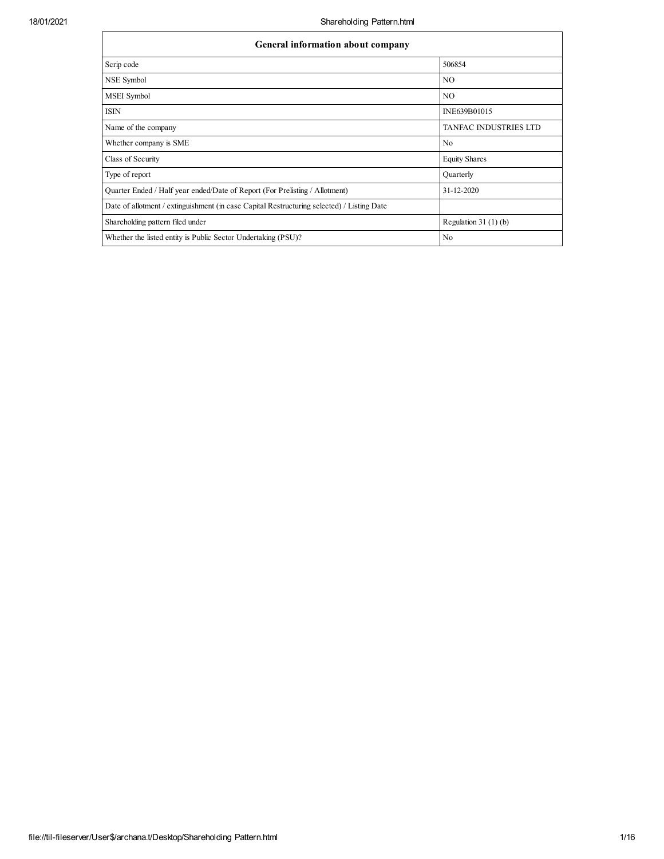| General information about company                                                          |                       |  |  |  |  |  |  |  |
|--------------------------------------------------------------------------------------------|-----------------------|--|--|--|--|--|--|--|
| Scrip code                                                                                 | 506854                |  |  |  |  |  |  |  |
| NSE Symbol                                                                                 | NO                    |  |  |  |  |  |  |  |
| MSEI Symbol                                                                                | N <sub>O</sub>        |  |  |  |  |  |  |  |
| <b>ISIN</b>                                                                                | INE639B01015          |  |  |  |  |  |  |  |
| Name of the company                                                                        | TANFAC INDUSTRIES LTD |  |  |  |  |  |  |  |
| Whether company is SME                                                                     | No                    |  |  |  |  |  |  |  |
| Class of Security                                                                          | <b>Equity Shares</b>  |  |  |  |  |  |  |  |
| Type of report                                                                             | Quarterly             |  |  |  |  |  |  |  |
| Quarter Ended / Half year ended/Date of Report (For Prelisting / Allotment)                | $31 - 12 - 2020$      |  |  |  |  |  |  |  |
| Date of allotment / extinguishment (in case Capital Restructuring selected) / Listing Date |                       |  |  |  |  |  |  |  |
| Shareholding pattern filed under                                                           | Regulation $31(1)(b)$ |  |  |  |  |  |  |  |
| Whether the listed entity is Public Sector Undertaking (PSU)?                              | No                    |  |  |  |  |  |  |  |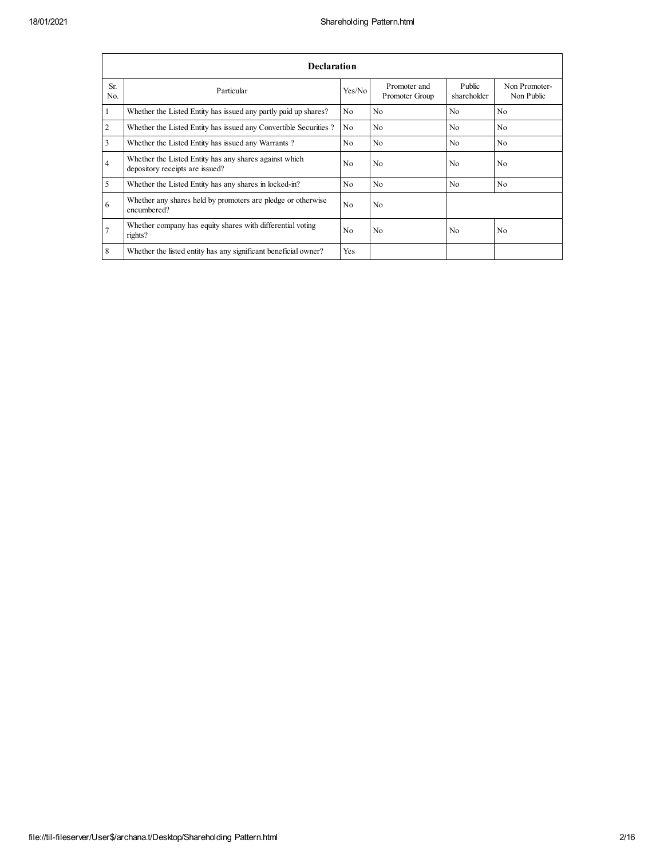|                | Declaration                                                                               |                |                                |                       |                             |
|----------------|-------------------------------------------------------------------------------------------|----------------|--------------------------------|-----------------------|-----------------------------|
| Sr.<br>No.     | Particular                                                                                | Yes/No         | Promoter and<br>Promoter Group | Public<br>shareholder | Non Promoter-<br>Non Public |
| -1             | Whether the Listed Entity has issued any partly paid up shares?                           | N <sub>0</sub> | N <sub>0</sub>                 | N <sub>0</sub>        | N <sub>0</sub>              |
| $\overline{2}$ | Whether the Listed Entity has issued any Convertible Securities?                          | N <sub>o</sub> | N <sub>0</sub>                 | N <sub>0</sub>        | N <sub>0</sub>              |
| 3              | Whether the Listed Entity has issued any Warrants?                                        | N <sub>0</sub> | N <sub>0</sub>                 | N <sub>0</sub>        | N <sub>0</sub>              |
| $\overline{4}$ | Whether the Listed Entity has any shares against which<br>depository receipts are issued? | N <sub>0</sub> | N <sub>0</sub>                 | N <sub>0</sub>        | N <sub>o</sub>              |
| 5              | Whether the Listed Entity has any shares in locked-in?                                    | N <sub>0</sub> | N <sub>0</sub>                 | N <sub>0</sub>        | N <sub>0</sub>              |
| 6              | Whether any shares held by promoters are pledge or otherwise<br>encumbered?               | N <sub>0</sub> | N <sub>0</sub>                 |                       |                             |
| $\overline{7}$ | Whether company has equity shares with differential voting<br>rights?                     | No             | N <sub>0</sub>                 | N <sub>0</sub>        | N <sub>0</sub>              |
| 8              | Whether the listed entity has any significant beneficial owner?                           | Yes            |                                |                       |                             |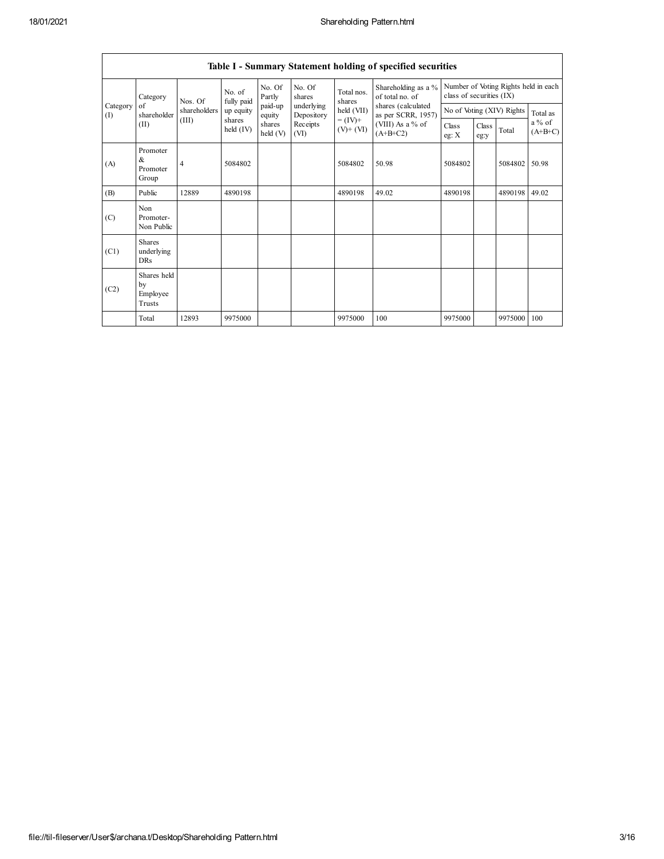|                               | Table I - Summary Statement holding of specified securities |                |                                             |                                                              |                          |                                        |                                                                  |                  |               |                           |                       |
|-------------------------------|-------------------------------------------------------------|----------------|---------------------------------------------|--------------------------------------------------------------|--------------------------|----------------------------------------|------------------------------------------------------------------|------------------|---------------|---------------------------|-----------------------|
|                               | Category                                                    | Nos. Of        | No. of<br>fully paid                        | No. Of<br>No. Of<br>Total nos.<br>Partly<br>shares<br>shares |                          | Shareholding as a %<br>of total no. of | Number of Voting Rights held in each<br>class of securities (IX) |                  |               |                           |                       |
| of<br>Category<br>(I)<br>(II) | shareholder                                                 | shareholders   | up equity                                   | paid-up<br>equity                                            | underlying<br>Depository | held (VII)                             | shares (calculated<br>as per SCRR, 1957)                         |                  |               | No of Voting (XIV) Rights | Total as              |
|                               |                                                             | (III)          | shares<br>shares<br>held $(IV)$<br>held (V) |                                                              | Receipts<br>(VI)         | $= (IV) +$<br>$(V)$ + $(VI)$           | (VIII) As a $%$ of<br>$(A+B+C2)$                                 | Class<br>eg: $X$ | Class<br>eg:y | Total                     | $a\%$ of<br>$(A+B+C)$ |
| (A)                           | Promoter<br>&<br>Promoter<br>Group                          | $\overline{4}$ | 5084802                                     |                                                              |                          | 5084802                                | 50.98                                                            | 5084802          |               | 5084802                   | 50.98                 |
| (B)                           | Public                                                      | 12889          | 4890198                                     |                                                              |                          | 4890198                                | 49.02                                                            | 4890198          |               | 4890198                   | 49.02                 |
| (C)                           | Non<br>Promoter-<br>Non Public                              |                |                                             |                                                              |                          |                                        |                                                                  |                  |               |                           |                       |
| (C1)                          | <b>Shares</b><br>underlying<br><b>DRs</b>                   |                |                                             |                                                              |                          |                                        |                                                                  |                  |               |                           |                       |
| (C2)                          | Shares held<br>by<br>Employee<br>Trusts                     |                |                                             |                                                              |                          |                                        |                                                                  |                  |               |                           |                       |
|                               | Total                                                       | 12893          | 9975000                                     |                                                              |                          | 9975000                                | 100                                                              | 9975000          |               | 9975000                   | 100                   |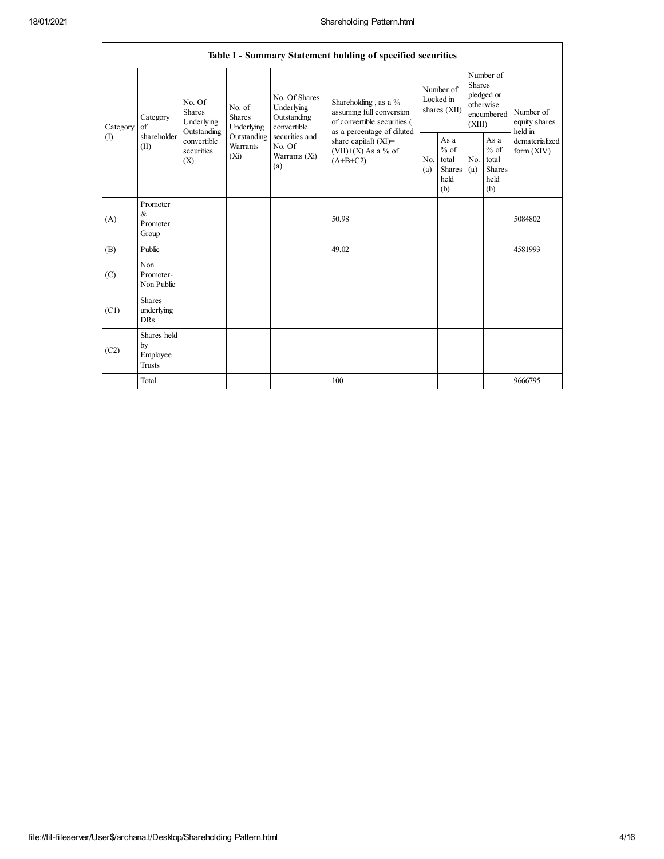|                 |                                                |                                                                          |                         |                                                           | Table I - Summary Statement holding of specified securities                                  |                                                                                                                         |                                                  |            |                                                         |                                           |
|-----------------|------------------------------------------------|--------------------------------------------------------------------------|-------------------------|-----------------------------------------------------------|----------------------------------------------------------------------------------------------|-------------------------------------------------------------------------------------------------------------------------|--------------------------------------------------|------------|---------------------------------------------------------|-------------------------------------------|
| Category<br>(I) | Category<br>of<br>shareholder<br>(II)          | No. Of<br>No. of<br>Shares<br><b>Shares</b><br>Underlying<br>Outstanding | Underlying              | No. Of Shares<br>Underlying<br>Outstanding<br>convertible | Shareholding, as a %<br>assuming full conversion<br>of convertible securities (              | Number of<br><b>Shares</b><br>Number of<br>pledged or<br>Locked in<br>otherwise<br>shares (XII)<br>encumbered<br>(XIII) |                                                  |            | Number of<br>equity shares                              |                                           |
|                 |                                                | convertible<br>securities<br>$(X_i)$<br>(X)                              | Outstanding<br>Warrants | securities and<br>No. Of<br>Warrants (Xi)<br>(a)          | as a percentage of diluted<br>share capital) $(XI)$ =<br>$(VII)+(X)$ As a % of<br>$(A+B+C2)$ | No.<br>(a)                                                                                                              | As a<br>$%$ of<br>total<br>Shares<br>held<br>(b) | No.<br>(a) | As a<br>$%$ of<br>total<br><b>Shares</b><br>held<br>(b) | held in<br>dematerialized<br>form $(XIV)$ |
| (A)             | Promoter<br>$\&$<br>Promoter<br>Group          |                                                                          |                         |                                                           | 50.98                                                                                        |                                                                                                                         |                                                  |            |                                                         | 5084802                                   |
| (B)             | Public                                         |                                                                          |                         |                                                           | 49.02                                                                                        |                                                                                                                         |                                                  |            |                                                         | 4581993                                   |
| (C)             | Non<br>Promoter-<br>Non Public                 |                                                                          |                         |                                                           |                                                                                              |                                                                                                                         |                                                  |            |                                                         |                                           |
| (C1)            | <b>Shares</b><br>underlying<br><b>DRs</b>      |                                                                          |                         |                                                           |                                                                                              |                                                                                                                         |                                                  |            |                                                         |                                           |
| (C2)            | Shares held<br>by<br>Employee<br><b>Trusts</b> |                                                                          |                         |                                                           |                                                                                              |                                                                                                                         |                                                  |            |                                                         |                                           |
|                 | Total                                          |                                                                          |                         |                                                           | 100                                                                                          |                                                                                                                         |                                                  |            |                                                         | 9666795                                   |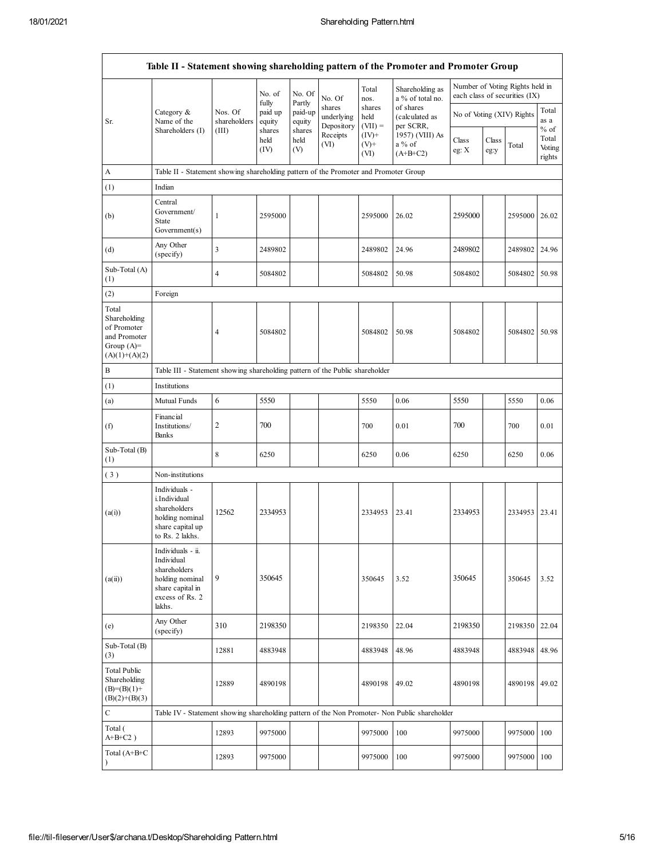|                                                                                         | Table II - Statement showing shareholding pattern of the Promoter and Promoter Group                                |                         |                            |                             |                                    |                             |                                          |                |               |                                                                  |                           |
|-----------------------------------------------------------------------------------------|---------------------------------------------------------------------------------------------------------------------|-------------------------|----------------------------|-----------------------------|------------------------------------|-----------------------------|------------------------------------------|----------------|---------------|------------------------------------------------------------------|---------------------------|
|                                                                                         |                                                                                                                     |                         | No. of                     | No. Of                      | No. Of                             | Total<br>nos.               | Shareholding as<br>a % of total no.      |                |               | Number of Voting Rights held in<br>each class of securities (IX) |                           |
| Sr.                                                                                     | Category &<br>Name of the                                                                                           | Nos. Of<br>shareholders | fully<br>paid up<br>equity | Partly<br>paid-up<br>equity | shares<br>underlying<br>Depository | shares<br>held<br>$(VII) =$ | of shares<br>(calculated as<br>per SCRR, |                |               | No of Voting (XIV) Rights                                        | Total<br>as a<br>$%$ of   |
|                                                                                         | Shareholders (I)                                                                                                    | (III)                   | shares<br>held<br>(IV)     | shares<br>held<br>(V)       | Receipts<br>(VI)                   | $(IV)+$<br>$(V)$ +<br>(VI)  | 1957) (VIII) As<br>a % of<br>$(A+B+C2)$  | Class<br>eg: X | Class<br>eg:y | Total                                                            | Total<br>Voting<br>rights |
| A                                                                                       | Table II - Statement showing shareholding pattern of the Promoter and Promoter Group                                |                         |                            |                             |                                    |                             |                                          |                |               |                                                                  |                           |
| (1)                                                                                     | Indian                                                                                                              |                         |                            |                             |                                    |                             |                                          |                |               |                                                                  |                           |
| (b)                                                                                     | Central<br>Government/<br><b>State</b><br>Government(s)                                                             | $\mathbf{1}$            | 2595000                    |                             |                                    | 2595000                     | 26.02                                    | 2595000        |               | 2595000                                                          | 26.02                     |
| (d)                                                                                     | Any Other<br>(specify)                                                                                              | $\overline{\mathbf{3}}$ | 2489802                    |                             |                                    | 2489802                     | 24.96                                    | 2489802        |               | 2489802 24.96                                                    |                           |
| Sub-Total (A)<br>(1)                                                                    |                                                                                                                     | $\overline{4}$          | 5084802                    |                             |                                    | 5084802                     | 50.98                                    | 5084802        |               | 5084802                                                          | 50.98                     |
| (2)                                                                                     | Foreign                                                                                                             |                         |                            |                             |                                    |                             |                                          |                |               |                                                                  |                           |
| Total<br>Shareholding<br>of Promoter<br>and Promoter<br>Group $(A)=$<br>$(A)(1)+(A)(2)$ |                                                                                                                     | $\overline{4}$          | 5084802                    |                             |                                    | 5084802                     | 50.98                                    | 5084802        |               | 5084802                                                          | 50.98                     |
| B                                                                                       | Table III - Statement showing shareholding pattern of the Public shareholder                                        |                         |                            |                             |                                    |                             |                                          |                |               |                                                                  |                           |
| (1)                                                                                     | Institutions                                                                                                        |                         |                            |                             |                                    |                             |                                          |                |               |                                                                  |                           |
| (a)                                                                                     | Mutual Funds                                                                                                        | 6                       | 5550                       |                             |                                    | 5550                        | 0.06                                     | 5550           |               | 5550                                                             | 0.06                      |
| (f)                                                                                     | Financial<br>Institutions/<br>Banks                                                                                 | 2                       | 700                        |                             |                                    | 700                         | 0.01                                     | 700            |               | 700                                                              | 0.01                      |
| Sub-Total (B)<br>(1)                                                                    |                                                                                                                     | $\,8\,$                 | 6250                       |                             |                                    | 6250                        | 0.06                                     | 6250           |               | 6250                                                             | 0.06                      |
| (3)                                                                                     | Non-institutions                                                                                                    |                         |                            |                             |                                    |                             |                                          |                |               |                                                                  |                           |
| (a(i))                                                                                  | Individuals -<br>i.Individual<br>shareholders<br>holding nominal<br>share capital up<br>to Rs. 2 lakhs.             | 12562                   | 2334953                    |                             |                                    | 2334953                     | 23.41                                    | 2334953        |               | 2334953                                                          | 23.41                     |
| (a(ii))                                                                                 | Individuals - ii.<br>Individual<br>shareholders<br>holding nominal<br>share capital in<br>excess of Rs. 2<br>lakhs. | 9                       | 350645                     |                             |                                    | 350645                      | 3.52                                     | 350645         |               | 350645                                                           | 3.52                      |
| (e)                                                                                     | Any Other<br>(specify)                                                                                              | 310                     | 2198350                    |                             |                                    | 2198350                     | 22.04                                    | 2198350        |               | 2198350                                                          | 22.04                     |
| Sub-Total (B)<br>(3)                                                                    |                                                                                                                     | 12881                   | 4883948                    |                             |                                    | 4883948                     | 48.96                                    | 4883948        |               | 4883948                                                          | 48.96                     |
| <b>Total Public</b><br>Shareholding<br>$(B)=(B)(1)+$<br>$(B)(2)+(B)(3)$                 |                                                                                                                     | 12889                   | 4890198                    |                             |                                    | 4890198                     | 49.02                                    | 4890198        |               | 4890198                                                          | 49.02                     |
| $\mathbf C$                                                                             | Table IV - Statement showing shareholding pattern of the Non Promoter- Non Public shareholder                       |                         |                            |                             |                                    |                             |                                          |                |               |                                                                  |                           |
| Total (<br>$A+B+C2$ )                                                                   |                                                                                                                     | 12893                   | 9975000                    |                             |                                    | 9975000                     | 100                                      | 9975000        |               | 9975000                                                          | 100                       |
| Total $(A+B+C)$                                                                         |                                                                                                                     | 12893                   | 9975000                    |                             |                                    | 9975000                     | 100                                      | 9975000        |               | 9975000                                                          | 100                       |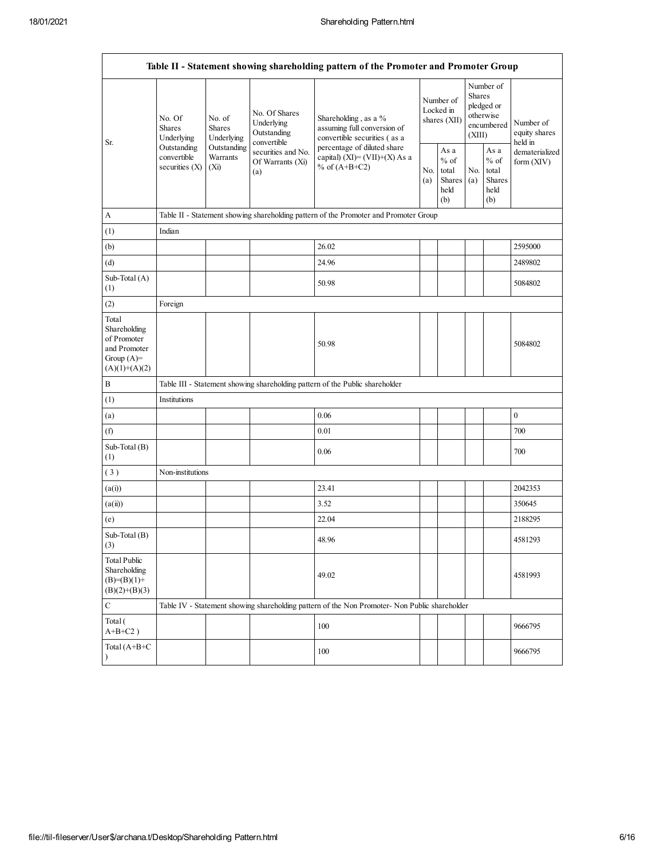|                                                                                         | Table II - Statement showing shareholding pattern of the Promoter and Promoter Group            |                                                                          |                                                                                    |                                                                                               |                                                         |                                        |                                                                               |  |                                                                       |  |
|-----------------------------------------------------------------------------------------|-------------------------------------------------------------------------------------------------|--------------------------------------------------------------------------|------------------------------------------------------------------------------------|-----------------------------------------------------------------------------------------------|---------------------------------------------------------|----------------------------------------|-------------------------------------------------------------------------------|--|-----------------------------------------------------------------------|--|
| Sr.                                                                                     | No. Of<br><b>Shares</b><br>Underlying<br>Outstanding<br>convertible<br>securities $(X)$<br>(Xi) | No. of<br><b>Shares</b><br>Underlying                                    | No. Of Shares<br>Underlying<br>Outstanding<br>convertible                          | Shareholding, as a %<br>assuming full conversion of<br>convertible securities (as a           |                                                         | Number of<br>Locked in<br>shares (XII) | Number of<br><b>Shares</b><br>pledged or<br>otherwise<br>encumbered<br>(XIII) |  | Number of<br>equity shares<br>held in<br>dematerialized<br>form (XIV) |  |
|                                                                                         |                                                                                                 | Outstanding<br>securities and No.<br>Warrants<br>Of Warrants (Xi)<br>(a) | percentage of diluted share<br>capital) $(XI) = (VII)+(X) As a$<br>% of $(A+B+C2)$ | No.<br>(a)                                                                                    | As a<br>$%$ of<br>total<br><b>Shares</b><br>held<br>(b) | No.<br>(a)                             | As a<br>$%$ of<br>total<br><b>Shares</b><br>held<br>(b)                       |  |                                                                       |  |
| A                                                                                       |                                                                                                 |                                                                          |                                                                                    | Table II - Statement showing shareholding pattern of the Promoter and Promoter Group          |                                                         |                                        |                                                                               |  |                                                                       |  |
| (1)                                                                                     | Indian                                                                                          |                                                                          |                                                                                    |                                                                                               |                                                         |                                        |                                                                               |  |                                                                       |  |
| (b)                                                                                     |                                                                                                 |                                                                          |                                                                                    | 26.02                                                                                         |                                                         |                                        |                                                                               |  | 2595000                                                               |  |
| (d)                                                                                     |                                                                                                 |                                                                          |                                                                                    | 24.96                                                                                         |                                                         |                                        |                                                                               |  | 2489802                                                               |  |
| Sub-Total (A)<br>(1)                                                                    |                                                                                                 |                                                                          |                                                                                    | 50.98                                                                                         |                                                         |                                        |                                                                               |  | 5084802                                                               |  |
| (2)                                                                                     | Foreign                                                                                         |                                                                          |                                                                                    |                                                                                               |                                                         |                                        |                                                                               |  |                                                                       |  |
| Total<br>Shareholding<br>of Promoter<br>and Promoter<br>Group $(A)=$<br>$(A)(1)+(A)(2)$ |                                                                                                 |                                                                          |                                                                                    | 50.98                                                                                         |                                                         |                                        |                                                                               |  | 5084802                                                               |  |
| B                                                                                       |                                                                                                 |                                                                          |                                                                                    | Table III - Statement showing shareholding pattern of the Public shareholder                  |                                                         |                                        |                                                                               |  |                                                                       |  |
| (1)                                                                                     | Institutions                                                                                    |                                                                          |                                                                                    |                                                                                               |                                                         |                                        |                                                                               |  |                                                                       |  |
| (a)                                                                                     |                                                                                                 |                                                                          |                                                                                    | 0.06                                                                                          |                                                         |                                        |                                                                               |  | $\boldsymbol{0}$                                                      |  |
| (f)                                                                                     |                                                                                                 |                                                                          |                                                                                    | 0.01                                                                                          |                                                         |                                        |                                                                               |  | 700                                                                   |  |
| Sub-Total $(B)$<br>(1)                                                                  |                                                                                                 |                                                                          |                                                                                    | 0.06                                                                                          |                                                         |                                        |                                                                               |  | 700                                                                   |  |
| (3)                                                                                     | Non-institutions                                                                                |                                                                          |                                                                                    |                                                                                               |                                                         |                                        |                                                                               |  |                                                                       |  |
| (a(i))                                                                                  |                                                                                                 |                                                                          |                                                                                    | 23.41                                                                                         |                                                         |                                        |                                                                               |  | 2042353                                                               |  |
| (a(ii))                                                                                 |                                                                                                 |                                                                          |                                                                                    | 3.52                                                                                          |                                                         |                                        |                                                                               |  | 350645                                                                |  |
| (e)                                                                                     |                                                                                                 |                                                                          |                                                                                    | 22.04                                                                                         |                                                         |                                        |                                                                               |  | 2188295                                                               |  |
| Sub-Total (B)<br>(3)                                                                    |                                                                                                 |                                                                          |                                                                                    | 48.96                                                                                         |                                                         |                                        |                                                                               |  | 4581293                                                               |  |
| <b>Total Public</b><br>Shareholding<br>$(B)=(B)(1)+$<br>$(B)(2)+(B)(3)$                 |                                                                                                 |                                                                          |                                                                                    | 49.02                                                                                         |                                                         |                                        |                                                                               |  | 4581993                                                               |  |
| $\mathbf C$                                                                             |                                                                                                 |                                                                          |                                                                                    | Table IV - Statement showing shareholding pattern of the Non Promoter- Non Public shareholder |                                                         |                                        |                                                                               |  |                                                                       |  |
| Total (<br>$A+B+C2$ )                                                                   |                                                                                                 |                                                                          |                                                                                    | 100                                                                                           |                                                         |                                        |                                                                               |  | 9666795                                                               |  |
| Total (A+B+C                                                                            |                                                                                                 |                                                                          |                                                                                    | 100                                                                                           |                                                         |                                        |                                                                               |  | 9666795                                                               |  |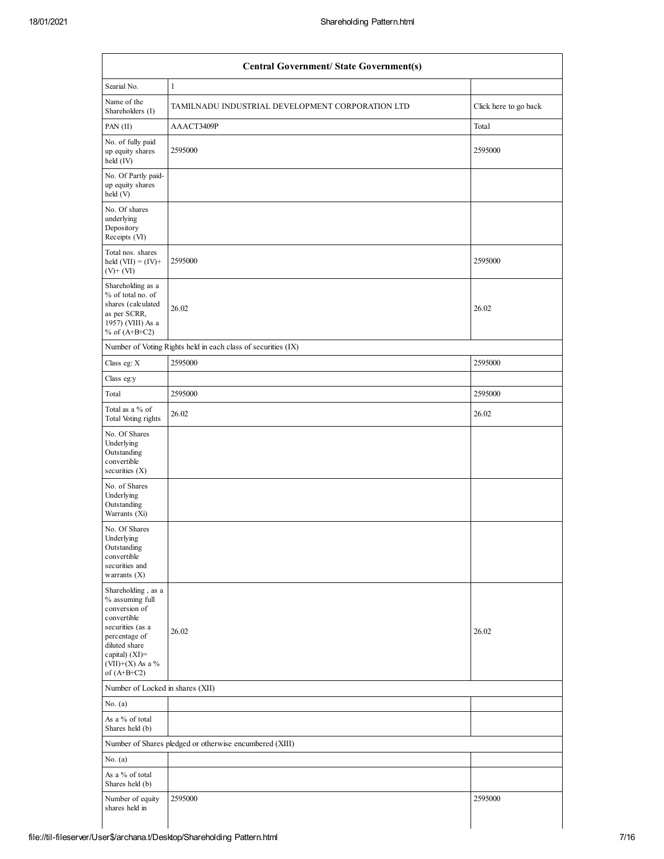| <b>Central Government/ State Government(s)</b>                                                                                                                                         |                                                               |                       |  |  |  |  |  |
|----------------------------------------------------------------------------------------------------------------------------------------------------------------------------------------|---------------------------------------------------------------|-----------------------|--|--|--|--|--|
| Searial No.                                                                                                                                                                            | $\mathbf{1}$                                                  |                       |  |  |  |  |  |
| Name of the<br>Shareholders (I)                                                                                                                                                        | TAMILNADU INDUSTRIAL DEVELOPMENT CORPORATION LTD              | Click here to go back |  |  |  |  |  |
| PAN (II)                                                                                                                                                                               | AAACT3409P                                                    | Total                 |  |  |  |  |  |
| No. of fully paid<br>up equity shares<br>held (IV)                                                                                                                                     | 2595000                                                       | 2595000               |  |  |  |  |  |
| No. Of Partly paid-<br>up equity shares<br>held(V)                                                                                                                                     |                                                               |                       |  |  |  |  |  |
| No. Of shares<br>underlying<br>Depository<br>Receipts (VI)                                                                                                                             |                                                               |                       |  |  |  |  |  |
| Total nos. shares<br>held $(VII) = (IV) +$<br>$(V)$ + $(VI)$                                                                                                                           | 2595000                                                       | 2595000               |  |  |  |  |  |
| Shareholding as a<br>% of total no. of<br>shares (calculated<br>as per SCRR,<br>1957) (VIII) As a<br>% of $(A+B+C2)$                                                                   | 26.02                                                         | 26.02                 |  |  |  |  |  |
|                                                                                                                                                                                        | Number of Voting Rights held in each class of securities (IX) |                       |  |  |  |  |  |
| Class eg: X                                                                                                                                                                            | 2595000                                                       | 2595000               |  |  |  |  |  |
| Class eg:y                                                                                                                                                                             |                                                               |                       |  |  |  |  |  |
| Total                                                                                                                                                                                  | 2595000                                                       | 2595000               |  |  |  |  |  |
| Total as a % of<br>Total Voting rights                                                                                                                                                 | 26.02                                                         | 26.02                 |  |  |  |  |  |
| No. Of Shares<br>Underlying<br>Outstanding<br>convertible<br>securities $(X)$                                                                                                          |                                                               |                       |  |  |  |  |  |
| No. of Shares<br>Underlying<br>Outstanding<br>Warrants (Xi)                                                                                                                            |                                                               |                       |  |  |  |  |  |
| No. Of Shares<br>Underlying<br>Outstanding<br>convertible<br>securities and<br>warrants $(X)$                                                                                          |                                                               |                       |  |  |  |  |  |
| Shareholding, as a<br>% assuming full<br>conversion of<br>convertible<br>securities (as a<br>percentage of<br>diluted share<br>capital) $(XI)=$<br>$(VII)+(X)$ As a %<br>of $(A+B+C2)$ | 26.02                                                         | 26.02                 |  |  |  |  |  |
| Number of Locked in shares (XII)                                                                                                                                                       |                                                               |                       |  |  |  |  |  |
| No. $(a)$                                                                                                                                                                              |                                                               |                       |  |  |  |  |  |
| As a % of total<br>Shares held (b)                                                                                                                                                     |                                                               |                       |  |  |  |  |  |
|                                                                                                                                                                                        | Number of Shares pledged or otherwise encumbered (XIII)       |                       |  |  |  |  |  |
| No. $(a)$                                                                                                                                                                              |                                                               |                       |  |  |  |  |  |
| As a % of total<br>Shares held (b)                                                                                                                                                     |                                                               |                       |  |  |  |  |  |
|                                                                                                                                                                                        |                                                               |                       |  |  |  |  |  |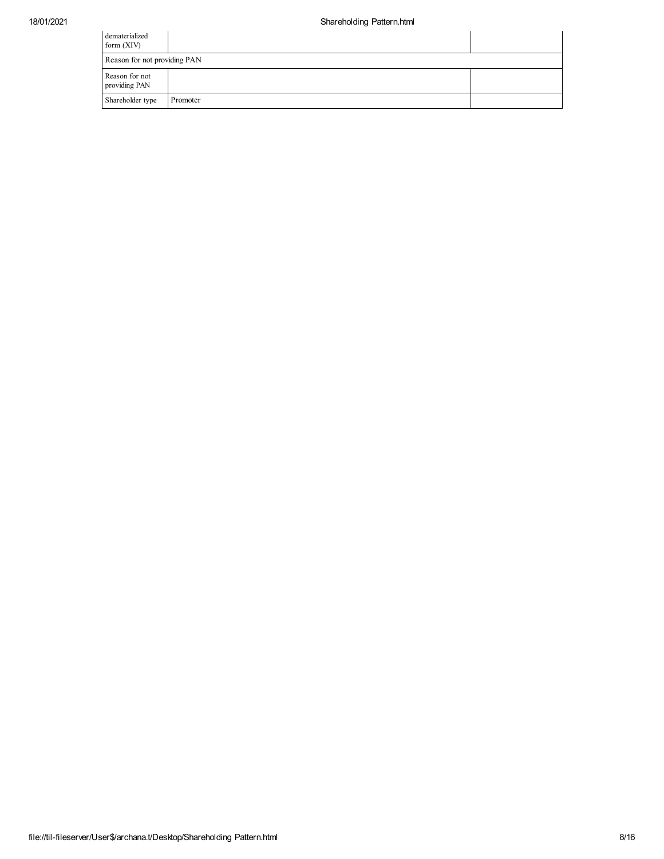| dematerialized<br>form $(XIV)$  |          |  |
|---------------------------------|----------|--|
| Reason for not providing PAN    |          |  |
| Reason for not<br>providing PAN |          |  |
| Shareholder type                | Promoter |  |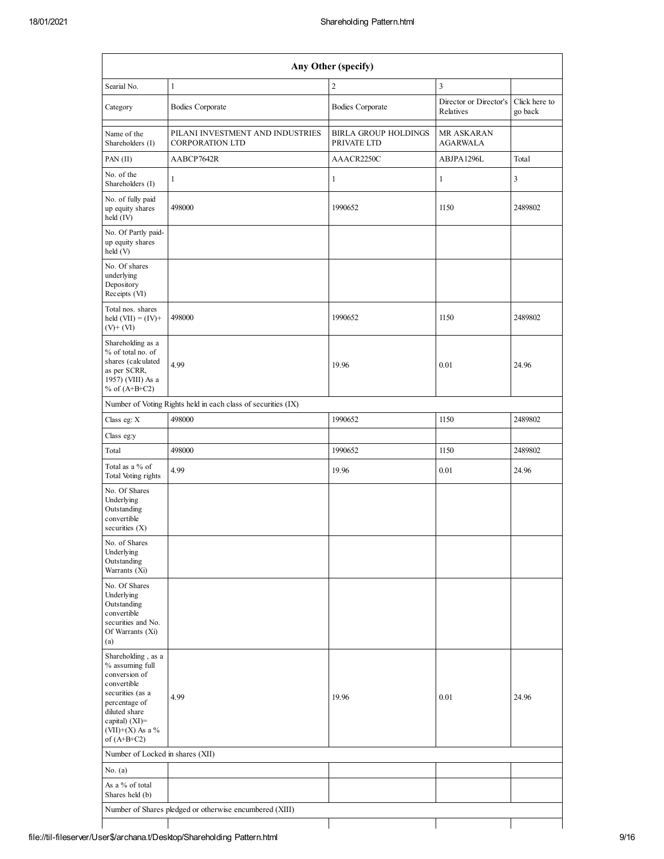|                                                                                                                                                                                         |                                                               | Any Other (specify)                        |                                     |                          |
|-----------------------------------------------------------------------------------------------------------------------------------------------------------------------------------------|---------------------------------------------------------------|--------------------------------------------|-------------------------------------|--------------------------|
| Searial No.                                                                                                                                                                             | 1                                                             | 2                                          | 3                                   |                          |
| Category                                                                                                                                                                                | <b>Bodies Corporate</b>                                       | <b>Bodies Corporate</b>                    | Director or Director's<br>Relatives | Click here to<br>go back |
| Name of the<br>Shareholders (I)                                                                                                                                                         | PILANI INVESTMENT AND INDUSTRIES<br><b>CORPORATION LTD</b>    | <b>BIRLA GROUP HOLDINGS</b><br>PRIVATE LTD | MR ASKARAN<br><b>AGARWALA</b>       |                          |
| PAN (II)                                                                                                                                                                                | AABCP7642R                                                    | AAACR2250C                                 | ABJPA1296L                          | Total                    |
| No. of the<br>Shareholders (I)                                                                                                                                                          | $\mathbf{1}$                                                  | $\mathbf{1}$                               | 1                                   | 3                        |
| No. of fully paid<br>up equity shares<br>held (IV)                                                                                                                                      | 498000                                                        | 1990652                                    | 1150                                | 2489802                  |
| No. Of Partly paid-<br>up equity shares<br>held (V)                                                                                                                                     |                                                               |                                            |                                     |                          |
| No. Of shares<br>underlying<br>Depository<br>Receipts (VI)                                                                                                                              |                                                               |                                            |                                     |                          |
| Total nos. shares<br>held $(VII) = (IV) +$<br>$(V)$ + $(VI)$                                                                                                                            | 498000                                                        | 1990652                                    | 1150                                | 2489802                  |
| Shareholding as a<br>% of total no. of<br>shares (calculated<br>as per SCRR,<br>1957) (VIII) As a<br>% of $(A+B+C2)$                                                                    | 4.99                                                          | 19.96                                      | 0.01                                | 24.96                    |
|                                                                                                                                                                                         | Number of Voting Rights held in each class of securities (IX) |                                            |                                     |                          |
| Class eg: $X$                                                                                                                                                                           | 498000                                                        | 1990652                                    | 1150                                | 2489802                  |
| Class eg:y                                                                                                                                                                              |                                                               |                                            |                                     |                          |
| Total                                                                                                                                                                                   | 498000                                                        | 1990652                                    | 1150                                | 2489802                  |
| Total as a % of<br>Total Voting rights                                                                                                                                                  | 4.99                                                          | 19.96                                      | 0.01                                | 24.96                    |
| No. Of Shares<br>Underlying<br>Outstanding<br>convertible<br>securities $(X)$                                                                                                           |                                                               |                                            |                                     |                          |
| No. of Shares<br>Underlying<br>Outstanding<br>Warrants (Xi)                                                                                                                             |                                                               |                                            |                                     |                          |
| No. Of Shares<br>Underlying<br>Outstanding<br>convertible<br>securities and No.<br>Of Warrants (Xi)<br>(a)                                                                              |                                                               |                                            |                                     |                          |
| Shareholding, as a<br>% assuming full<br>conversion of<br>convertible<br>securities (as a<br>percentage of<br>diluted share<br>capital) $(XI)$ =<br>$(VII)+(X)$ As a %<br>of $(A+B+C2)$ | 4.99                                                          | 19.96                                      | 0.01                                | 24.96                    |
| Number of Locked in shares (XII)                                                                                                                                                        |                                                               |                                            |                                     |                          |
| No. $(a)$                                                                                                                                                                               |                                                               |                                            |                                     |                          |
| As a % of total                                                                                                                                                                         |                                                               |                                            |                                     |                          |
| Shares held (b)                                                                                                                                                                         |                                                               |                                            |                                     |                          |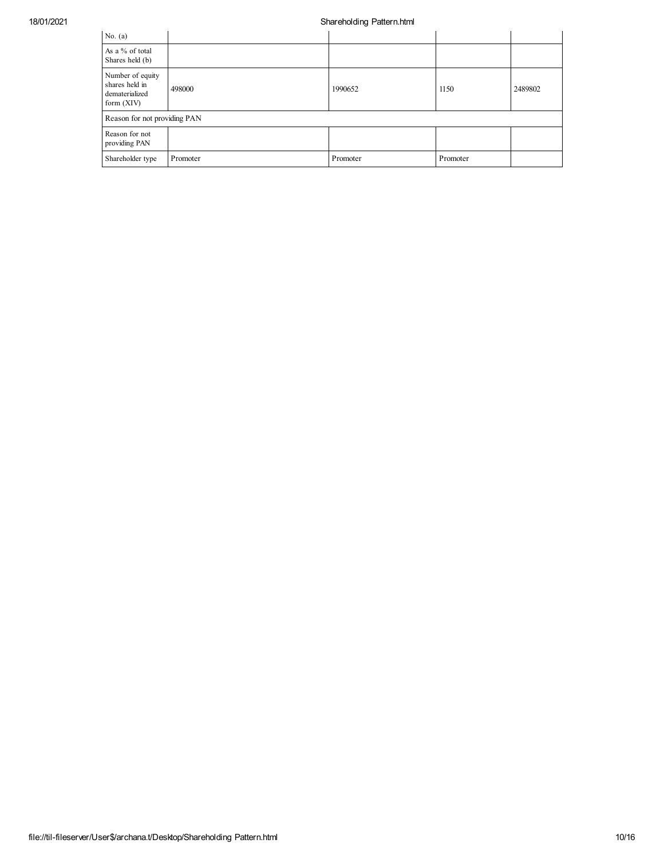## 18/01/2021 Shareholding Pattern.html

| No. $(a)$                                                            |          |          |          |         |
|----------------------------------------------------------------------|----------|----------|----------|---------|
| As a % of total<br>Shares held (b)                                   |          |          |          |         |
| Number of equity<br>shares held in<br>dematerialized<br>form $(XIV)$ | 498000   | 1990652  | 1150     | 2489802 |
| Reason for not providing PAN                                         |          |          |          |         |
| Reason for not<br>providing PAN                                      |          |          |          |         |
| Shareholder type                                                     | Promoter | Promoter | Promoter |         |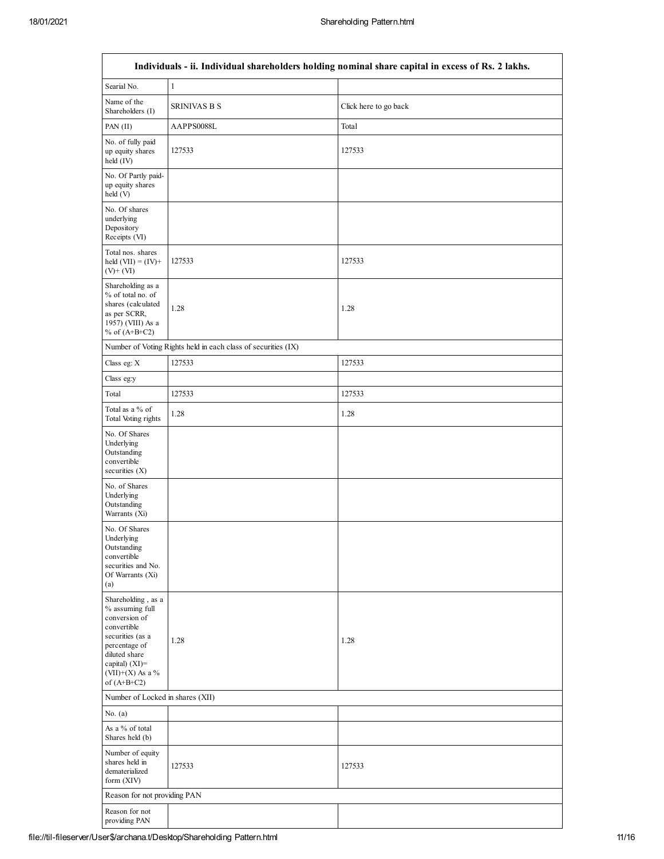|                                                                                                                                                                                      | Individuals - ii. Individual shareholders holding nominal share capital in excess of Rs. 2 lakhs. |                       |  |  |  |  |  |  |  |
|--------------------------------------------------------------------------------------------------------------------------------------------------------------------------------------|---------------------------------------------------------------------------------------------------|-----------------------|--|--|--|--|--|--|--|
| Searial No.                                                                                                                                                                          | $\mathbf{1}$                                                                                      |                       |  |  |  |  |  |  |  |
| Name of the<br>Shareholders (I)                                                                                                                                                      | <b>SRINIVAS B S</b>                                                                               | Click here to go back |  |  |  |  |  |  |  |
| PAN (II)                                                                                                                                                                             | AAPPS0088L                                                                                        | Total                 |  |  |  |  |  |  |  |
| No. of fully paid<br>up equity shares<br>held (IV)                                                                                                                                   | 127533                                                                                            | 127533                |  |  |  |  |  |  |  |
| No. Of Partly paid-<br>up equity shares<br>held (V)                                                                                                                                  |                                                                                                   |                       |  |  |  |  |  |  |  |
| No. Of shares<br>underlying<br>Depository<br>Receipts (VI)                                                                                                                           |                                                                                                   |                       |  |  |  |  |  |  |  |
| Total nos. shares<br>held $(VII) = (IV) +$<br>$(V)$ + $(VI)$                                                                                                                         | 127533                                                                                            | 127533                |  |  |  |  |  |  |  |
| Shareholding as a<br>% of total no. of<br>shares (calculated<br>as per SCRR,<br>1957) (VIII) As a<br>% of $(A+B+C2)$                                                                 | 1.28                                                                                              | 1.28                  |  |  |  |  |  |  |  |
|                                                                                                                                                                                      | Number of Voting Rights held in each class of securities (IX)                                     |                       |  |  |  |  |  |  |  |
| Class eg: X                                                                                                                                                                          | 127533                                                                                            | 127533                |  |  |  |  |  |  |  |
| Class eg:y                                                                                                                                                                           |                                                                                                   |                       |  |  |  |  |  |  |  |
| Total                                                                                                                                                                                | 127533                                                                                            | 127533                |  |  |  |  |  |  |  |
| Total as a % of<br>Total Voting rights                                                                                                                                               | 1.28                                                                                              | 1.28                  |  |  |  |  |  |  |  |
| No. Of Shares<br>Underlying<br>Outstanding<br>convertible<br>securities $(X)$                                                                                                        |                                                                                                   |                       |  |  |  |  |  |  |  |
| No. of Shares<br>Underlying<br>Outstanding<br>Warrants (Xi)                                                                                                                          |                                                                                                   |                       |  |  |  |  |  |  |  |
| No. Of Shares<br>Underlying<br>Outstanding<br>convertible<br>securities and No.<br>Of Warrants (Xi)<br>(a)                                                                           |                                                                                                   |                       |  |  |  |  |  |  |  |
| Shareholding, as a<br>% assuming full<br>conversion of<br>convertible<br>securities (as a<br>percentage of<br>diluted share<br>capital) (XI)=<br>$(VII)+(X)$ As a %<br>of $(A+B+C2)$ | 1.28                                                                                              | 1.28                  |  |  |  |  |  |  |  |
| Number of Locked in shares (XII)                                                                                                                                                     |                                                                                                   |                       |  |  |  |  |  |  |  |
| No. $(a)$                                                                                                                                                                            |                                                                                                   |                       |  |  |  |  |  |  |  |
| As a % of total<br>Shares held (b)                                                                                                                                                   |                                                                                                   |                       |  |  |  |  |  |  |  |
| Number of equity<br>shares held in<br>dematerialized<br>form (XIV)                                                                                                                   | 127533                                                                                            | 127533                |  |  |  |  |  |  |  |
| Reason for not providing PAN                                                                                                                                                         |                                                                                                   |                       |  |  |  |  |  |  |  |
| Reason for not<br>providing PAN                                                                                                                                                      |                                                                                                   |                       |  |  |  |  |  |  |  |

## **Individuals - ii. Individual shareholders holding nominal share capital in excess of Rs. 2 lakhs.**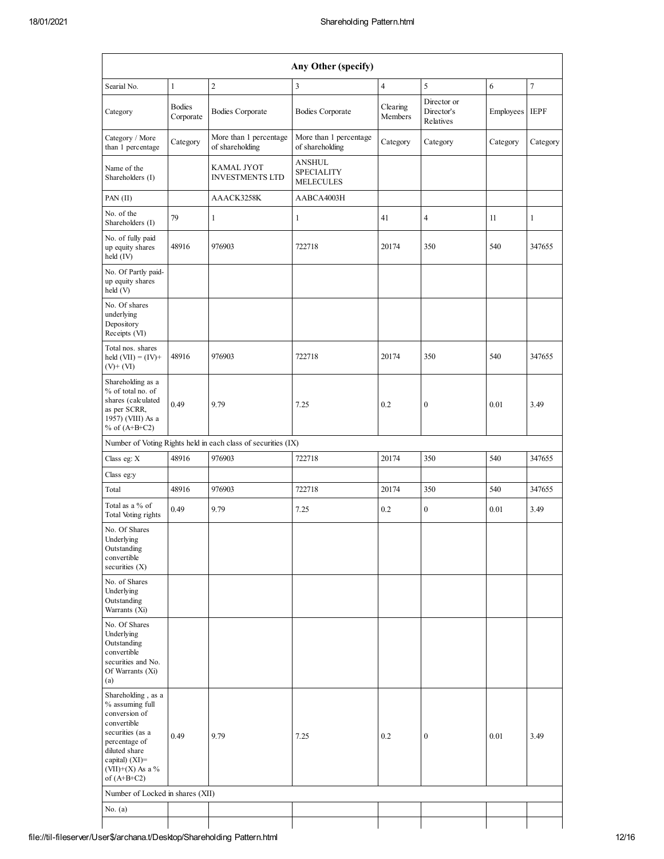|                                                                                                                                                                                          |                            |                                                               | Any Other (specify)                                    |                     |                                        |           |                |
|------------------------------------------------------------------------------------------------------------------------------------------------------------------------------------------|----------------------------|---------------------------------------------------------------|--------------------------------------------------------|---------------------|----------------------------------------|-----------|----------------|
| Searial No.                                                                                                                                                                              | $\mathbf{1}$               | $\overline{2}$                                                | $\overline{\mathbf{3}}$                                | $\overline{4}$      | 5                                      | 6         | $\overline{7}$ |
| Category                                                                                                                                                                                 | <b>Bodies</b><br>Corporate | <b>Bodies Corporate</b>                                       | <b>Bodies Corporate</b>                                | Clearing<br>Members | Director or<br>Director's<br>Relatives | Employees | <b>IEPF</b>    |
| Category / More<br>than 1 percentage                                                                                                                                                     | Category                   | More than 1 percentage<br>of shareholding                     | More than 1 percentage<br>of shareholding              | Category            | Category                               | Category  | Category       |
| Name of the<br>Shareholders (I)                                                                                                                                                          |                            | <b>KAMAL JYOT</b><br><b>INVESTMENTS LTD</b>                   | <b>ANSHUL</b><br><b>SPECIALITY</b><br><b>MELECULES</b> |                     |                                        |           |                |
| PAN (II)                                                                                                                                                                                 |                            | AAACK3258K                                                    | AABCA4003H                                             |                     |                                        |           |                |
| No. of the<br>Shareholders (I)                                                                                                                                                           | 79                         | $\mathbf{1}$                                                  | $\mathbf{1}$                                           | 41                  | 4                                      | 11        | $\mathbf{1}$   |
| No. of fully paid<br>up equity shares<br>held (IV)                                                                                                                                       | 48916                      | 976903                                                        | 722718                                                 | 20174               | 350                                    | 540       | 347655         |
| No. Of Partly paid-<br>up equity shares<br>held (V)                                                                                                                                      |                            |                                                               |                                                        |                     |                                        |           |                |
| No. Of shares<br>underlying<br>Depository<br>Receipts (VI)                                                                                                                               |                            |                                                               |                                                        |                     |                                        |           |                |
| Total nos. shares<br>held $(VII) = (IV) +$<br>$(V)+(VI)$                                                                                                                                 | 48916                      | 976903                                                        | 722718                                                 | 20174               | 350                                    | 540       | 347655         |
| Shareholding as a<br>% of total no. of<br>shares (calculated<br>as per SCRR,<br>1957) (VIII) As a<br>% of $(A+B+C2)$                                                                     | 0.49                       | 9.79                                                          | 7.25                                                   | 0.2                 | $\boldsymbol{0}$                       | 0.01      | 3.49           |
|                                                                                                                                                                                          |                            | Number of Voting Rights held in each class of securities (IX) |                                                        |                     |                                        |           |                |
| Class eg: X                                                                                                                                                                              | 48916                      | 976903                                                        | 722718                                                 | 20174               | 350                                    | 540       | 347655         |
| Class eg:y                                                                                                                                                                               |                            |                                                               |                                                        |                     |                                        |           |                |
| Total                                                                                                                                                                                    | 48916                      | 976903                                                        | 722718                                                 | 20174               | 350                                    | 540       | 347655         |
| Total as a % of<br>Total Voting rights                                                                                                                                                   | 0.49                       | 9.79                                                          | 7.25                                                   | 0.2                 | $\boldsymbol{0}$                       | 0.01      | 3.49           |
| No. Of Shares<br>Underlying<br>Outstanding<br>convertible<br>securities (X)                                                                                                              |                            |                                                               |                                                        |                     |                                        |           |                |
| No. of Shares<br>Underlying<br>Outstanding<br>Warrants (Xi)                                                                                                                              |                            |                                                               |                                                        |                     |                                        |           |                |
| No. Of Shares<br>Underlying<br>Outstanding<br>convertible<br>securities and No.<br>Of Warrants (Xi)<br>(a)                                                                               |                            |                                                               |                                                        |                     |                                        |           |                |
| Shareholding, as a<br>% assuming full<br>conversion of<br>convertible<br>securities (as a<br>percentage of<br>diluted share<br>capital) $(XI)$ =<br>(VII)+(X) As a $\%$<br>of $(A+B+C2)$ | 0.49                       | 9.79                                                          | 7.25                                                   | 0.2                 | $\boldsymbol{0}$                       | 0.01      | 3.49           |
| Number of Locked in shares (XII)                                                                                                                                                         |                            |                                                               |                                                        |                     |                                        |           |                |
| No. $(a)$                                                                                                                                                                                |                            |                                                               |                                                        |                     |                                        |           |                |
|                                                                                                                                                                                          |                            |                                                               |                                                        |                     |                                        |           |                |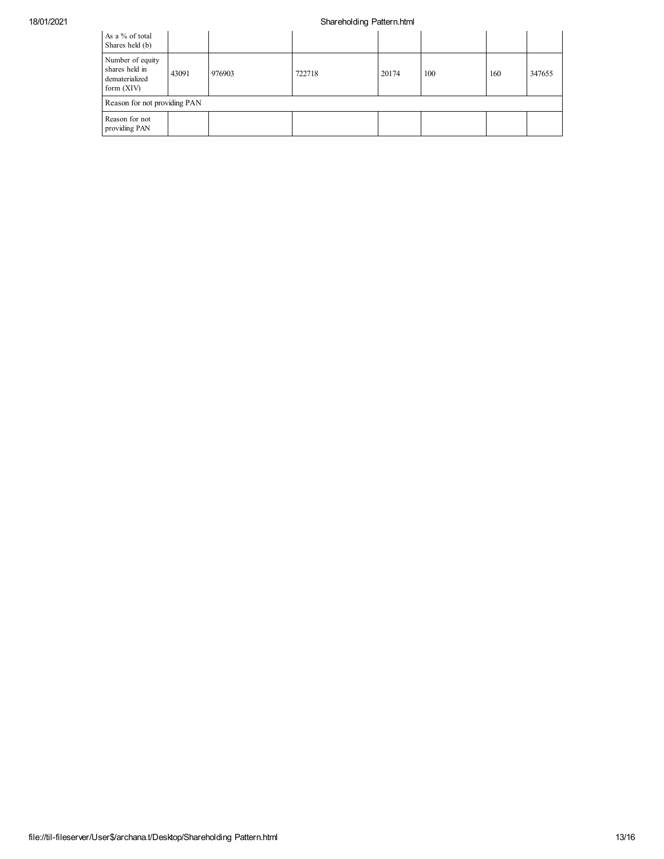## 18/01/2021 Shareholding Pattern.html

| As a % of total<br>Shares held (b)                                   |       |        |        |       |     |     |        |  |  |
|----------------------------------------------------------------------|-------|--------|--------|-------|-----|-----|--------|--|--|
| Number of equity<br>shares held in<br>dematerialized<br>form $(XIV)$ | 43091 | 976903 | 722718 | 20174 | 100 | 160 | 347655 |  |  |
| Reason for not providing PAN                                         |       |        |        |       |     |     |        |  |  |
| Reason for not<br>providing PAN                                      |       |        |        |       |     |     |        |  |  |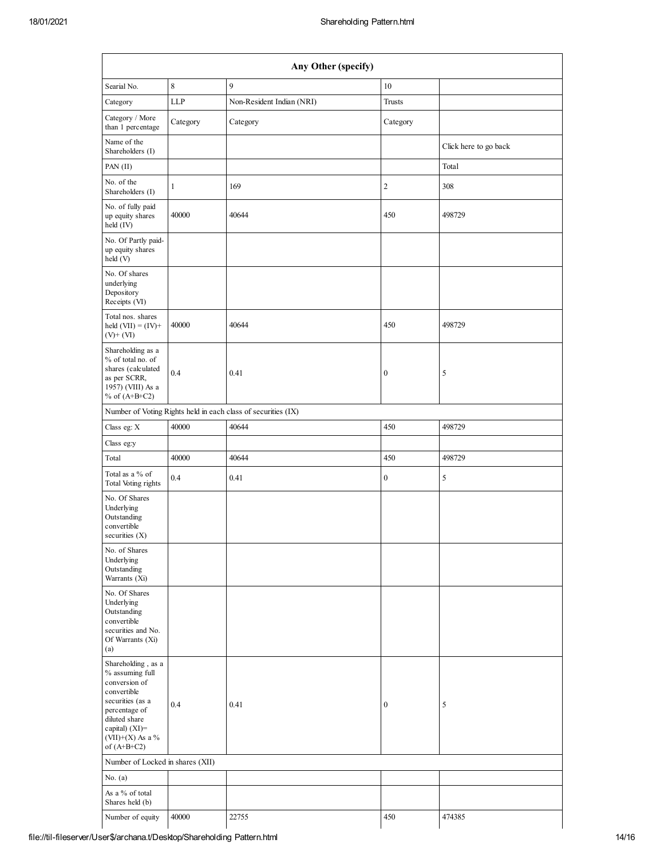| Any Other (specify)                                                                                                                                                                     |          |                                                               |                  |                       |  |  |  |  |  |
|-----------------------------------------------------------------------------------------------------------------------------------------------------------------------------------------|----------|---------------------------------------------------------------|------------------|-----------------------|--|--|--|--|--|
| Searial No.                                                                                                                                                                             | 8        | 9                                                             | 10               |                       |  |  |  |  |  |
| Category                                                                                                                                                                                | LLP      | Non-Resident Indian (NRI)                                     | Trusts           |                       |  |  |  |  |  |
| Category / More<br>than 1 percentage                                                                                                                                                    | Category | Category                                                      | Category         |                       |  |  |  |  |  |
| Name of the<br>Shareholders (I)                                                                                                                                                         |          |                                                               |                  | Click here to go back |  |  |  |  |  |
| PAN (II)                                                                                                                                                                                |          |                                                               |                  | Total                 |  |  |  |  |  |
| No. of the<br>Shareholders (I)                                                                                                                                                          | 1        | 169                                                           | 2                | 308                   |  |  |  |  |  |
| No. of fully paid<br>up equity shares<br>held (IV)                                                                                                                                      | 40000    | 40644                                                         | 450              | 498729                |  |  |  |  |  |
| No. Of Partly paid-<br>up equity shares<br>held (V)                                                                                                                                     |          |                                                               |                  |                       |  |  |  |  |  |
| No. Of shares<br>underlying<br>Depository<br>Receipts (VI)                                                                                                                              |          |                                                               |                  |                       |  |  |  |  |  |
| Total nos. shares<br>held $(VII) = (IV) +$<br>$(V)$ + $(VI)$                                                                                                                            | 40000    | 40644                                                         | 450              | 498729                |  |  |  |  |  |
| Shareholding as a<br>% of total no. of<br>shares (calculated<br>as per SCRR,<br>1957) (VIII) As a<br>% of $(A+B+C2)$                                                                    | 0.4      | 0.41                                                          | $\boldsymbol{0}$ | 5                     |  |  |  |  |  |
|                                                                                                                                                                                         |          | Number of Voting Rights held in each class of securities (IX) |                  |                       |  |  |  |  |  |
| Class eg: X                                                                                                                                                                             | 40000    | 40644                                                         | 450              | 498729                |  |  |  |  |  |
| Class eg:y                                                                                                                                                                              |          |                                                               |                  |                       |  |  |  |  |  |
| Total                                                                                                                                                                                   | 40000    | 40644                                                         | 450              | 498729                |  |  |  |  |  |
| Total as a % of<br>Total Voting rights                                                                                                                                                  | 0.4      | 0.41                                                          | $\boldsymbol{0}$ | 5                     |  |  |  |  |  |
| No. Of Shares<br>Underlying<br>Outstanding<br>convertible<br>securities (X)                                                                                                             |          |                                                               |                  |                       |  |  |  |  |  |
| No. of Shares<br>Underlying<br>Outstanding<br>Warrants (Xi)                                                                                                                             |          |                                                               |                  |                       |  |  |  |  |  |
| No. Of Shares<br>Underlying<br>Outstanding<br>convertible<br>securities and No.<br>Of Warrants (Xi)<br>(a)                                                                              |          |                                                               |                  |                       |  |  |  |  |  |
| Shareholding, as a<br>% assuming full<br>conversion of<br>convertible<br>securities (as a<br>percentage of<br>diluted share<br>capital) $(XI)$ =<br>$(VII)+(X)$ As a %<br>of $(A+B+C2)$ | 0.4      | 0.41                                                          | $\boldsymbol{0}$ | 5                     |  |  |  |  |  |
| Number of Locked in shares (XII)                                                                                                                                                        |          |                                                               |                  |                       |  |  |  |  |  |
| No. $(a)$                                                                                                                                                                               |          |                                                               |                  |                       |  |  |  |  |  |
| As a % of total<br>Shares held (b)                                                                                                                                                      |          |                                                               |                  |                       |  |  |  |  |  |
| Number of equity                                                                                                                                                                        | 40000    | 22755                                                         | 450              | 474385                |  |  |  |  |  |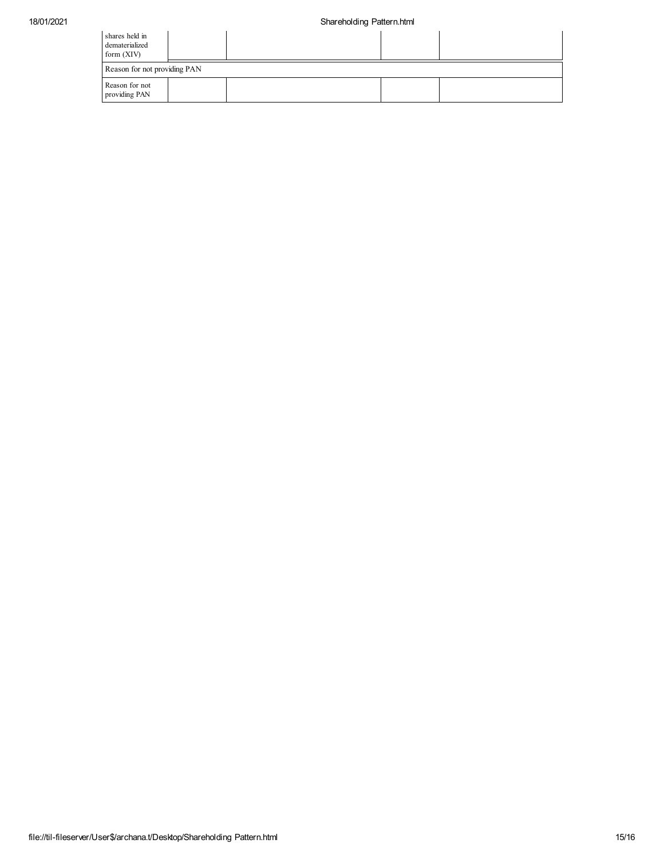| shares held in<br>dematerialized<br>form $(XIV)$ |  |  |  |  |  |  |  |  |  |
|--------------------------------------------------|--|--|--|--|--|--|--|--|--|
| Reason for not providing PAN                     |  |  |  |  |  |  |  |  |  |
| Reason for not<br>providing PAN                  |  |  |  |  |  |  |  |  |  |